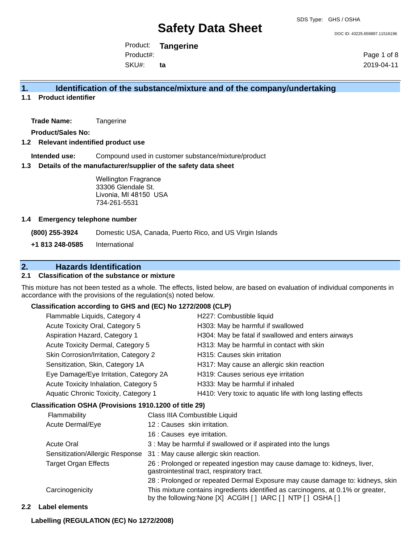DOC ID: 43225.659897.11516196

Product: **Tangerine**  Product#:

SKU#: **ta** Page 1 of 8 2019-04-11

## **1. Identification of the substance/mixture and of the company/undertaking**

**1.1 Product identifier**

**Trade Name:** Tangerine

**Product/Sales No:**

#### **1.2 Relevant indentified product use**

**Intended use:** Compound used in customer substance/mixture/product

#### **1.3 Details of the manufacturer/supplier of the safety data sheet**

Wellington Fragrance 33306 Glendale St. Livonia, MI 48150 USA 734-261-5531

#### **1.4 Emergency telephone number**

**(800) 255-3924** Domestic USA, Canada, Puerto Rico, and US Virgin Islands

**+1 813 248-0585** International

## **2. Hazards Identification**

### **2.1 Classification of the substance or mixture**

This mixture has not been tested as a whole. The effects, listed below, are based on evaluation of individual components in accordance with the provisions of the regulation(s) noted below.

### **Classification according to GHS and (EC) No 1272/2008 (CLP)**

| Flammable Liquids, Category 4          | H227: Combustible liquid                                   |
|----------------------------------------|------------------------------------------------------------|
| Acute Toxicity Oral, Category 5        | H303: May be harmful if swallowed                          |
| Aspiration Hazard, Category 1          | H304: May be fatal if swallowed and enters airways         |
| Acute Toxicity Dermal, Category 5      | H313: May be harmful in contact with skin                  |
| Skin Corrosion/Irritation, Category 2  | H315: Causes skin irritation                               |
| Sensitization, Skin, Category 1A       | H317: May cause an allergic skin reaction                  |
| Eye Damage/Eye Irritation, Category 2A | H319: Causes serious eye irritation                        |
| Acute Toxicity Inhalation, Category 5  | H333: May be harmful if inhaled                            |
| Aquatic Chronic Toxicity, Category 1   | H410: Very toxic to aquatic life with long lasting effects |
|                                        |                                                            |

### **Classification OSHA (Provisions 1910.1200 of title 29)**

| Flammability                    | Class IIIA Combustible Liquid                                                                                                                      |
|---------------------------------|----------------------------------------------------------------------------------------------------------------------------------------------------|
| Acute Dermal/Eye                | 12 : Causes skin irritation.                                                                                                                       |
|                                 | 16 : Causes eye irritation.                                                                                                                        |
| <b>Acute Oral</b>               | 3 : May be harmful if swallowed or if aspirated into the lungs                                                                                     |
| Sensitization/Allergic Response | 31 : May cause allergic skin reaction.                                                                                                             |
| <b>Target Organ Effects</b>     | 26 : Prolonged or repeated ingestion may cause damage to: kidneys, liver,<br>gastrointestinal tract, respiratory tract.                            |
|                                 | 28 : Prolonged or repeated Dermal Exposure may cause damage to: kidneys, skin                                                                      |
| Carcinogenicity                 | This mixture contains ingredients identified as carcinogens, at 0.1% or greater,<br>by the following: None [X] ACGIH [ ] IARC [ ] NTP [ ] OSHA [ ] |

#### **2.2 Label elements**

#### **Labelling (REGULATION (EC) No 1272/2008)**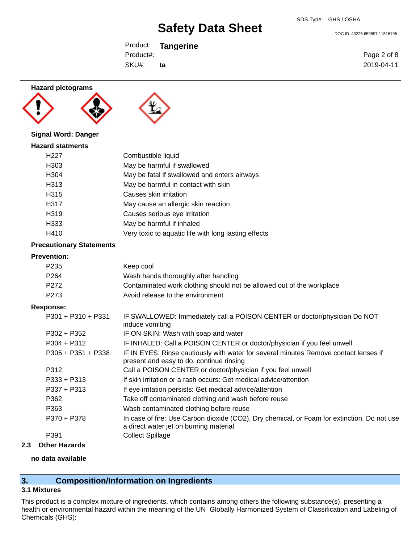DOC ID: 43225.659897.11516196

Product: **Tangerine**  SKU#: Product#: **ta**

Page 2 of 8 2019-04-11

**Hazard pictograms**

**Signal Word: Danger Hazard statments**





## H227 Combustible liquid H303 May be harmful if swallowed H304 May be fatal if swallowed and enters airways H313 May be harmful in contact with skin H315 Causes skin irritation H317 May cause an allergic skin reaction H319 Causes serious eye irritation H333 May be harmful if inhaled H410 Very toxic to aquatic life with long lasting effects

### **Precautionary Statements**

### **Prevention:**

| <b>Prevention:</b>   |                                                                                                                                       |
|----------------------|---------------------------------------------------------------------------------------------------------------------------------------|
| P <sub>235</sub>     | Keep cool                                                                                                                             |
| P <sub>264</sub>     | Wash hands thoroughly after handling                                                                                                  |
| P <sub>272</sub>     | Contaminated work clothing should not be allowed out of the workplace                                                                 |
| P273                 | Avoid release to the environment                                                                                                      |
| <b>Response:</b>     |                                                                                                                                       |
| $P301 + P310 + P331$ | IF SWALLOWED: Immediately call a POISON CENTER or doctor/physician Do NOT<br>induce vomiting                                          |
| $P302 + P352$        | IF ON SKIN: Wash with soap and water                                                                                                  |
| $P304 + P312$        | IF INHALED: Call a POISON CENTER or doctor/physician if you feel unwell                                                               |
| $P305 + P351 + P338$ | IF IN EYES: Rinse cautiously with water for several minutes Remove contact lenses if<br>present and easy to do. continue rinsing      |
| P312                 | Call a POISON CENTER or doctor/physician if you feel unwell                                                                           |
| $P333 + P313$        | If skin irritation or a rash occurs: Get medical advice/attention                                                                     |
| $P337 + P313$        | If eye irritation persists: Get medical advice/attention                                                                              |
| P362                 | Take off contaminated clothing and wash before reuse                                                                                  |
| P363                 | Wash contaminated clothing before reuse                                                                                               |
| P370 + P378          | In case of fire: Use Carbon dioxide (CO2), Dry chemical, or Foam for extinction. Do not use<br>a direct water jet on burning material |
| P391                 | <b>Collect Spillage</b>                                                                                                               |
|                      |                                                                                                                                       |

## **2.3 Other Hazards**

#### **no data available**

## **3. Composition/Information on Ingredients**

#### **3.1 Mixtures**

This product is a complex mixture of ingredients, which contains among others the following substance(s), presenting a health or environmental hazard within the meaning of the UN Globally Harmonized System of Classification and Labeling of Chemicals (GHS):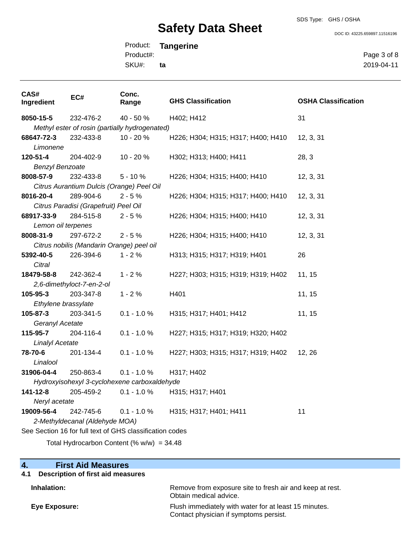# SDS Type: GHS / OSHA

**Safety Data Sheet**

DOC ID: 43225.659897.11516196

Product: **Tangerine**  SKU#: Product#: **ta**

Page 3 of 8 2019-04-11

| CAS#<br>Ingredient             | EC#                                                      | Conc.<br>Range | <b>GHS Classification</b>          | <b>OSHA Classification</b> |  |
|--------------------------------|----------------------------------------------------------|----------------|------------------------------------|----------------------------|--|
| 8050-15-5                      | 232-476-2                                                | 40 - 50 %      | H402; H412                         | 31                         |  |
|                                | Methyl ester of rosin (partially hydrogenated)           |                |                                    |                            |  |
| 68647-72-3                     | 232-433-8                                                | 10 - 20 %      | H226; H304; H315; H317; H400; H410 | 12, 3, 31                  |  |
| Limonene                       |                                                          |                |                                    |                            |  |
| 120-51-4                       | 204-402-9                                                | 10 - 20 %      | H302; H313; H400; H411             | 28, 3                      |  |
| <b>Benzyl Benzoate</b>         |                                                          |                |                                    |                            |  |
| 8008-57-9                      | 232-433-8                                                | $5 - 10%$      | H226; H304; H315; H400; H410       | 12, 3, 31                  |  |
|                                | Citrus Aurantium Dulcis (Orange) Peel Oil                |                |                                    |                            |  |
| 8016-20-4                      | 289-904-6                                                | $2 - 5%$       | H226; H304; H315; H317; H400; H410 | 12, 3, 31                  |  |
|                                | Citrus Paradisi (Grapefruit) Peel Oil                    |                |                                    |                            |  |
| 68917-33-9                     | 284-515-8                                                | $2 - 5%$       | H226; H304; H315; H400; H410       | 12, 3, 31                  |  |
| Lemon oil terpenes             |                                                          |                |                                    |                            |  |
| 8008-31-9                      | 297-672-2                                                | $2 - 5%$       | H226; H304; H315; H400; H410       | 12, 3, 31                  |  |
|                                | Citrus nobilis (Mandarin Orange) peel oil                |                |                                    |                            |  |
| 5392-40-5                      | 226-394-6                                                | $1 - 2%$       | H313; H315; H317; H319; H401       | 26                         |  |
| Citral                         |                                                          |                |                                    |                            |  |
| 18479-58-8                     | 242-362-4                                                | $1 - 2%$       | H227; H303; H315; H319; H319; H402 | 11, 15                     |  |
|                                | 2,6-dimethyloct-7-en-2-ol                                |                |                                    |                            |  |
| 105-95-3                       | 203-347-8                                                | $1 - 2%$       | H401                               | 11, 15                     |  |
| Ethylene brassylate            |                                                          |                |                                    |                            |  |
| 105-87-3                       | 203-341-5                                                | $0.1 - 1.0 %$  | H315; H317; H401; H412             | 11, 15                     |  |
| Geranyl Acetate                |                                                          |                |                                    |                            |  |
| 115-95-7                       | 204-116-4                                                | $0.1 - 1.0 %$  | H227; H315; H317; H319; H320; H402 |                            |  |
| <b>Linalyl Acetate</b>         |                                                          |                |                                    |                            |  |
| 78-70-6                        | 201-134-4                                                | $0.1 - 1.0 %$  | H227; H303; H315; H317; H319; H402 | 12, 26                     |  |
| Linalool                       |                                                          |                |                                    |                            |  |
| 31906-04-4                     | 250-863-4                                                | $0.1 - 1.0 %$  | H317; H402                         |                            |  |
|                                | Hydroxyisohexyl 3-cyclohexene carboxaldehyde             |                |                                    |                            |  |
| 141-12-8                       | 205-459-2                                                | $0.1 - 1.0 %$  | H315; H317; H401                   |                            |  |
| Neryl acetate                  |                                                          |                |                                    |                            |  |
| 19009-56-4                     | 242-745-6                                                | $0.1 - 1.0 %$  | H315; H317; H401; H411             | 11                         |  |
| 2-Methyldecanal (Aldehyde MOA) |                                                          |                |                                    |                            |  |
|                                | See Section 16 for full text of GHS classification codes |                |                                    |                            |  |
|                                | Total Hydrocarbon Content (% $w/w$ ) = 34.48             |                |                                    |                            |  |

# **4. First Aid Measures**

| 4.1 Description of first aid measures |                                                                                                 |
|---------------------------------------|-------------------------------------------------------------------------------------------------|
| Inhalation:                           | Remove from exposure site to fresh air and keep at rest.<br>Obtain medical advice.              |
| Eye Exposure:                         | Flush immediately with water for at least 15 minutes.<br>Contact physician if symptoms persist. |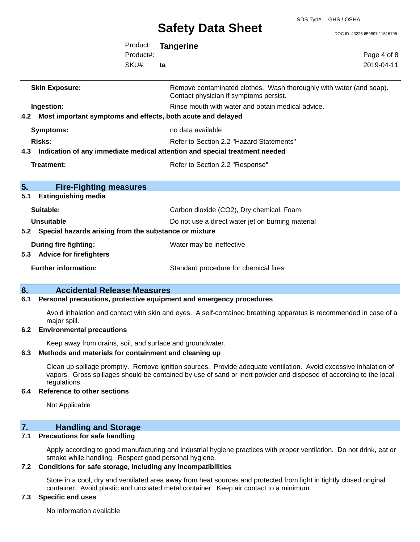SDS Type: GHS / OSHA

DOC ID: 43225.659897.11516196

|                                                                 | Product:<br>Product#: | <b>Tangerine</b>                                                                                              | Page 4 of 8 |
|-----------------------------------------------------------------|-----------------------|---------------------------------------------------------------------------------------------------------------|-------------|
|                                                                 | SKU#:                 | ta                                                                                                            | 2019-04-11  |
| <b>Skin Exposure:</b>                                           |                       | Remove contaminated clothes. Wash thoroughly with water (and soap).<br>Contact physician if symptoms persist. |             |
| Ingestion:                                                      |                       | Rinse mouth with water and obtain medical advice.                                                             |             |
| 4.2 Most important symptoms and effects, both acute and delayed |                       |                                                                                                               |             |
| <b>Symptoms:</b>                                                |                       | no data available                                                                                             |             |
| <b>Risks:</b>                                                   |                       | Refer to Section 2.2 "Hazard Statements"                                                                      |             |
|                                                                 |                       | 4.3 Indication of any immediate medical attention and special treatment needed                                |             |
| <b>Treatment:</b>                                               |                       | Refer to Section 2.2 "Response"                                                                               |             |
| 5.<br><b>Fire-Fighting measures</b>                             |                       |                                                                                                               |             |
| <b>Extinguishing media</b><br>5.1                               |                       |                                                                                                               |             |
| Suitable:                                                       |                       | Carbon dioxide (CO2), Dry chemical, Foam                                                                      |             |
| <b>Unsuitable</b>                                               |                       | Do not use a direct water jet on burning material                                                             |             |
| 5.2 Special hazards arising from the substance or mixture       |                       |                                                                                                               |             |
| <b>During fire fighting:</b><br>5.3 Advice for firefighters     |                       | Water may be ineffective                                                                                      |             |
| <b>Further information:</b>                                     |                       | Standard procedure for chemical fires                                                                         |             |

## **6. Accidental Release Measures**

#### **6.1 Personal precautions, protective equipment and emergency procedures**

Avoid inhalation and contact with skin and eyes. A self-contained breathing apparatus is recommended in case of a major spill.

#### **6.2 Environmental precautions**

Keep away from drains, soil, and surface and groundwater.

#### **6.3 Methods and materials for containment and cleaning up**

Clean up spillage promptly. Remove ignition sources. Provide adequate ventilation. Avoid excessive inhalation of vapors. Gross spillages should be contained by use of sand or inert powder and disposed of according to the local regulations.

#### **6.4 Reference to other sections**

Not Applicable

## **7. Handling and Storage**

### **7.1 Precautions for safe handling**

Apply according to good manufacturing and industrial hygiene practices with proper ventilation. Do not drink, eat or smoke while handling. Respect good personal hygiene.

#### **7.2 Conditions for safe storage, including any incompatibilities**

Store in a cool, dry and ventilated area away from heat sources and protected from light in tightly closed original container. Avoid plastic and uncoated metal container. Keep air contact to a minimum.

### **7.3 Specific end uses**

No information available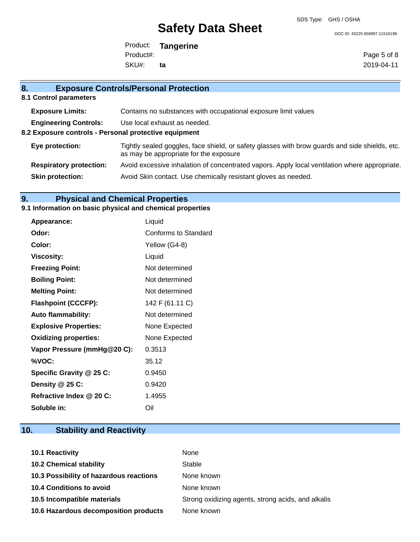SDS Type: GHS / OSHA

DOC ID: 43225.659897.11516196

Product: **Tangerine**  SKU#: Product#: **ta**

Page 5 of 8 2019-04-11

# **8. Exposure Controls/Personal Protection 8.1 Control parameters Exposure Limits:** Contains no substances with occupational exposure limit values **Engineering Controls:** Use local exhaust as needed. **8.2 Exposure controls - Personal protective equipment**

| Eye protection:                | Tightly sealed goggles, face shield, or safety glasses with brow guards and side shields, etc.<br>as may be appropriate for the exposure |
|--------------------------------|------------------------------------------------------------------------------------------------------------------------------------------|
| <b>Respiratory protection:</b> | Avoid excessive inhalation of concentrated vapors. Apply local ventilation where appropriate.                                            |
| <b>Skin protection:</b>        | Avoid Skin contact. Use chemically resistant gloves as needed.                                                                           |

## **9. Physical and Chemical Properties**

### **9.1 Information on basic physical and chemical properties**

| <b>Appearance:</b>           | Liquid               |
|------------------------------|----------------------|
| Odor:                        | Conforms to Standard |
| Color:                       | Yellow (G4-8)        |
| <b>Viscosity:</b>            | Liquid               |
| <b>Freezing Point:</b>       | Not determined       |
| <b>Boiling Point:</b>        | Not determined       |
| <b>Melting Point:</b>        | Not determined       |
| <b>Flashpoint (CCCFP):</b>   | 142 F (61.11 C)      |
| <b>Auto flammability:</b>    | Not determined       |
| <b>Explosive Properties:</b> | None Expected        |
| <b>Oxidizing properties:</b> | None Expected        |
| Vapor Pressure (mmHg@20 C):  | 0.3513               |
| %VOC:                        | 35.12                |
| Specific Gravity @ 25 C:     | 0.9450               |
| Density @ 25 C:              | 0.9420               |
| Refractive Index @ 20 C:     | 1.4955               |
| Soluble in:                  | Oil                  |

# **10. Stability and Reactivity**

| 10.1 Reactivity                         | None                                               |
|-----------------------------------------|----------------------------------------------------|
| <b>10.2 Chemical stability</b>          | Stable                                             |
| 10.3 Possibility of hazardous reactions | None known                                         |
| <b>10.4 Conditions to avoid</b>         | None known                                         |
| 10.5 Incompatible materials             | Strong oxidizing agents, strong acids, and alkalis |
| 10.6 Hazardous decomposition products   | None known                                         |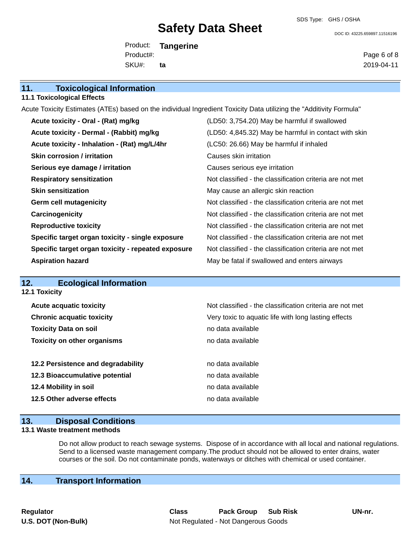SDS Type: GHS / OSHA

DOC ID: 43225.659897.11516196

Product: **Tangerine**  SKU#: Product#: **ta**

Page 6 of 8 2019-04-11

| <b>11.1 Toxicological Effects</b>                                                                                   |                                                          |  |  |
|---------------------------------------------------------------------------------------------------------------------|----------------------------------------------------------|--|--|
| Acute Toxicity Estimates (ATEs) based on the individual Ingredient Toxicity Data utilizing the "Additivity Formula" |                                                          |  |  |
| Acute toxicity - Oral - (Rat) mg/kg                                                                                 | (LD50: 3,754.20) May be harmful if swallowed             |  |  |
| Acute toxicity - Dermal - (Rabbit) mg/kg                                                                            | (LD50: 4,845.32) May be harmful in contact with skin     |  |  |
| Acute toxicity - Inhalation - (Rat) mg/L/4hr                                                                        | (LC50: 26.66) May be harmful if inhaled                  |  |  |
| <b>Skin corrosion / irritation</b>                                                                                  | Causes skin irritation                                   |  |  |
| Serious eye damage / irritation                                                                                     | Causes serious eye irritation                            |  |  |
| <b>Respiratory sensitization</b>                                                                                    | Not classified - the classification criteria are not met |  |  |
| <b>Skin sensitization</b>                                                                                           | May cause an allergic skin reaction                      |  |  |
| <b>Germ cell mutagenicity</b>                                                                                       | Not classified - the classification criteria are not met |  |  |
| Carcinogenicity                                                                                                     | Not classified - the classification criteria are not met |  |  |
| <b>Reproductive toxicity</b>                                                                                        | Not classified - the classification criteria are not met |  |  |
| Specific target organ toxicity - single exposure                                                                    | Not classified - the classification criteria are not met |  |  |
| Specific target organ toxicity - repeated exposure                                                                  | Not classified - the classification criteria are not met |  |  |
| <b>Aspiration hazard</b>                                                                                            | May be fatal if swallowed and enters airways             |  |  |
|                                                                                                                     |                                                          |  |  |

#### **12. Ecological Information 12.1 Toxicity**

**11. Toxicological Information**

| <b>Acute acquatic toxicity</b>     | Not classified - the classification criteria are not met |
|------------------------------------|----------------------------------------------------------|
| <b>Chronic acquatic toxicity</b>   | Very toxic to aquatic life with long lasting effects     |
| <b>Toxicity Data on soil</b>       | no data available                                        |
| <b>Toxicity on other organisms</b> | no data available                                        |
|                                    |                                                          |
| 12.2 Persistence and degradability | no data available                                        |
| 12.3 Bioaccumulative potential     | no data available                                        |
| 12.4 Mobility in soil              | no data available                                        |
| 12.5 Other adverse effects         | no data available                                        |
|                                    |                                                          |

### **13. Disposal Conditions**

#### **13.1 Waste treatment methods**

Do not allow product to reach sewage systems. Dispose of in accordance with all local and national regulations. Send to a licensed waste management company.The product should not be allowed to enter drains, water courses or the soil. Do not contaminate ponds, waterways or ditches with chemical or used container.

# **14. Transport Information**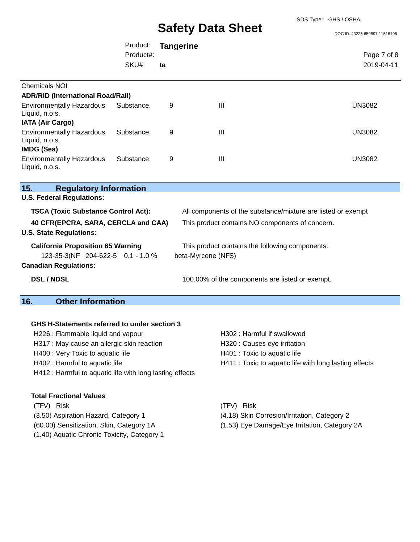DOC ID: 43225.659897.11516196

|                                                                                                               | Product:           | <b>Tangerine</b> |                                                                       |                                                              |
|---------------------------------------------------------------------------------------------------------------|--------------------|------------------|-----------------------------------------------------------------------|--------------------------------------------------------------|
|                                                                                                               | Product#:<br>SKU#: | ta               |                                                                       | Page 7 of 8<br>2019-04-11                                    |
| Chemicals NOI                                                                                                 |                    |                  |                                                                       |                                                              |
| <b>ADR/RID (International Road/Rail)</b>                                                                      |                    |                  |                                                                       |                                                              |
| <b>Environmentally Hazardous</b><br>Liquid, n.o.s.<br><b>IATA (Air Cargo)</b>                                 | Substance,         | 9                | $\mathbf{III}$                                                        | <b>UN3082</b>                                                |
| <b>Environmentally Hazardous</b><br>Liquid, n.o.s.<br><b>IMDG (Sea)</b>                                       | Substance,         | 9                | $\mathbf{III}$                                                        | <b>UN3082</b>                                                |
| <b>Environmentally Hazardous</b><br>Liquid, n.o.s.                                                            | Substance,         | 9                | III                                                                   | <b>UN3082</b>                                                |
| 15.<br><b>Regulatory Information</b>                                                                          |                    |                  |                                                                       |                                                              |
| <b>U.S. Federal Regulations:</b>                                                                              |                    |                  |                                                                       |                                                              |
| <b>TSCA (Toxic Substance Control Act):</b>                                                                    |                    |                  |                                                                       | All components of the substance/mixture are listed or exempt |
| 40 CFR(EPCRA, SARA, CERCLA and CAA)<br><b>U.S. State Regulations:</b>                                         |                    |                  | This product contains NO components of concern.                       |                                                              |
| <b>California Proposition 65 Warning</b><br>123-35-3(NF 204-622-5 0.1 - 1.0 %<br><b>Canadian Regulations:</b> |                    |                  | This product contains the following components:<br>beta-Myrcene (NFS) |                                                              |

**DSL / NDSL** 100.00% of the components are listed or exempt.

# **16. Other Information**

#### **GHS H-Statements referred to under section 3**

| H226 : Flammable liquid and vapour<br>H317 : May cause an allergic skin reaction<br>H400 : Very Toxic to aquatic life | <b>H302: Harr</b><br>H320 : Caus<br>H401 : Toxi |                                                          |             |
|-----------------------------------------------------------------------------------------------------------------------|-------------------------------------------------|----------------------------------------------------------|-------------|
|                                                                                                                       |                                                 | H402 : Harmful to aquatic life                           | H411 : Toxi |
|                                                                                                                       |                                                 | H412 : Harmful to aquatic life with long lasting effects |             |
| <b>Total Fractional Values</b>                                                                                        |                                                 |                                                          |             |
| <b>Risk</b><br>(TFV)                                                                                                  | Risk<br>(TFV)                                   |                                                          |             |

- 
- 
- (1.40) Aquatic Chronic Toxicity, Category 1

Toxic to aquatic life

Harmful if swallowed Causes eye irritation

- Toxic to aquatic life with long lasting effects
- 
- (3.50) Aspiration Hazard, Category 1 (4.18) Skin Corrosion/Irritation, Category 2
- (60.00) Sensitization, Skin, Category 1A (1.53) Eye Damage/Eye Irritation, Category 2A